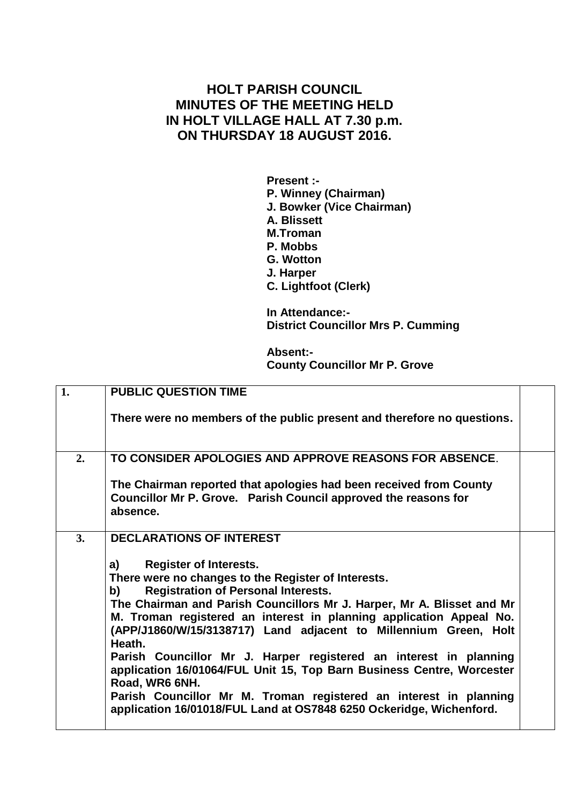## **HOLT PARISH COUNCIL MINUTES OF THE MEETING HELD IN HOLT VILLAGE HALL AT 7.30 p.m. ON THURSDAY 18 AUGUST 2016.**

**Present :- P. Winney (Chairman) J. Bowker (Vice Chairman) A. Blissett M.Troman P. Mobbs G. Wotton J. Harper C. Lightfoot (Clerk)**

**In Attendance:- District Councillor Mrs P. Cumming**

**Absent:- County Councillor Mr P. Grove**

| 1. | <b>PUBLIC QUESTION TIME</b>                                                                                                                                                                                                                                                                                                                                                                                                                                                                                                                                                                                    |  |
|----|----------------------------------------------------------------------------------------------------------------------------------------------------------------------------------------------------------------------------------------------------------------------------------------------------------------------------------------------------------------------------------------------------------------------------------------------------------------------------------------------------------------------------------------------------------------------------------------------------------------|--|
|    |                                                                                                                                                                                                                                                                                                                                                                                                                                                                                                                                                                                                                |  |
|    | There were no members of the public present and therefore no questions.                                                                                                                                                                                                                                                                                                                                                                                                                                                                                                                                        |  |
| 2. | TO CONSIDER APOLOGIES AND APPROVE REASONS FOR ABSENCE.                                                                                                                                                                                                                                                                                                                                                                                                                                                                                                                                                         |  |
|    | The Chairman reported that apologies had been received from County<br>Councillor Mr P. Grove. Parish Council approved the reasons for<br>absence.                                                                                                                                                                                                                                                                                                                                                                                                                                                              |  |
| 3. | <b>DECLARATIONS OF INTEREST</b>                                                                                                                                                                                                                                                                                                                                                                                                                                                                                                                                                                                |  |
|    | <b>Register of Interests.</b><br>a)<br>There were no changes to the Register of Interests.<br><b>Registration of Personal Interests.</b><br>b) and the set of the set of the set of the set of the set of the set of the set of the set of the set of the<br>set of the set of the set of the set of the set of the set of the set of the set of the set of the set of the<br>s<br>The Chairman and Parish Councillors Mr J. Harper, Mr A. Blisset and Mr<br>M. Troman registered an interest in planning application Appeal No.<br>(APP/J1860/W/15/3138717) Land adjacent to Millennium Green, Holt<br>Heath. |  |
|    | Parish Councillor Mr J. Harper registered an interest in planning<br>application 16/01064/FUL Unit 15, Top Barn Business Centre, Worcester<br>Road, WR6 6NH.                                                                                                                                                                                                                                                                                                                                                                                                                                                   |  |
|    | Parish Councillor Mr M. Troman registered an interest in planning<br>application 16/01018/FUL Land at OS7848 6250 Ockeridge, Wichenford.                                                                                                                                                                                                                                                                                                                                                                                                                                                                       |  |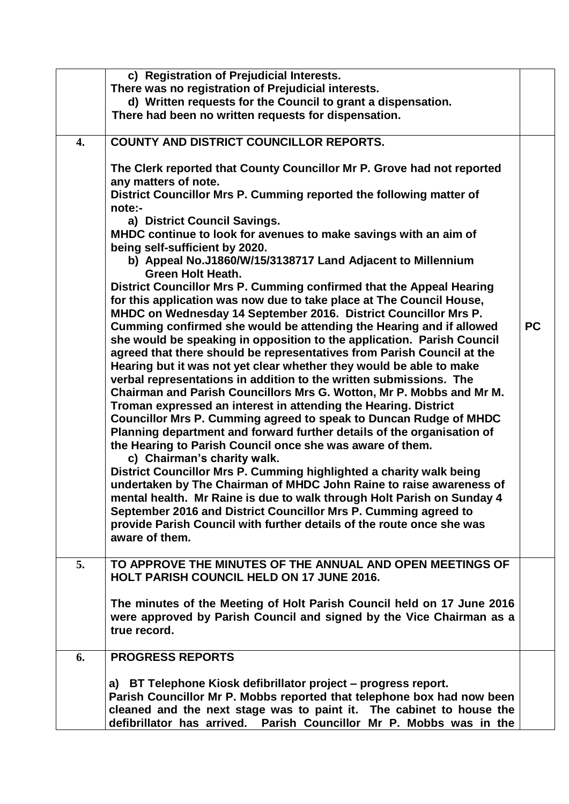|    | c) Registration of Prejudicial Interests.                                                                                                     |           |
|----|-----------------------------------------------------------------------------------------------------------------------------------------------|-----------|
|    | There was no registration of Prejudicial interests.                                                                                           |           |
|    | d) Written requests for the Council to grant a dispensation.                                                                                  |           |
|    | There had been no written requests for dispensation.                                                                                          |           |
| 4. | <b>COUNTY AND DISTRICT COUNCILLOR REPORTS.</b>                                                                                                |           |
|    | The Clerk reported that County Councillor Mr P. Grove had not reported<br>any matters of note.                                                |           |
|    | District Councillor Mrs P. Cumming reported the following matter of<br>note:-                                                                 |           |
|    | a) District Council Savings.                                                                                                                  |           |
|    | MHDC continue to look for avenues to make savings with an aim of<br>being self-sufficient by 2020.                                            |           |
|    | b) Appeal No.J1860/W/15/3138717 Land Adjacent to Millennium<br><b>Green Holt Heath.</b>                                                       |           |
|    | District Councillor Mrs P. Cumming confirmed that the Appeal Hearing                                                                          |           |
|    | for this application was now due to take place at The Council House,<br>MHDC on Wednesday 14 September 2016. District Councillor Mrs P.       |           |
|    | Cumming confirmed she would be attending the Hearing and if allowed                                                                           | <b>PC</b> |
|    | she would be speaking in opposition to the application. Parish Council                                                                        |           |
|    | agreed that there should be representatives from Parish Council at the<br>Hearing but it was not yet clear whether they would be able to make |           |
|    | verbal representations in addition to the written submissions. The                                                                            |           |
|    | Chairman and Parish Councillors Mrs G. Wotton, Mr P. Mobbs and Mr M.                                                                          |           |
|    | Troman expressed an interest in attending the Hearing. District                                                                               |           |
|    | Councillor Mrs P. Cumming agreed to speak to Duncan Rudge of MHDC                                                                             |           |
|    | Planning department and forward further details of the organisation of                                                                        |           |
|    | the Hearing to Parish Council once she was aware of them.<br>c) Chairman's charity walk.                                                      |           |
|    | District Councillor Mrs P. Cumming highlighted a charity walk being                                                                           |           |
|    | undertaken by The Chairman of MHDC John Raine to raise awareness of                                                                           |           |
|    | mental health. Mr Raine is due to walk through Holt Parish on Sunday 4                                                                        |           |
|    | September 2016 and District Councillor Mrs P. Cumming agreed to                                                                               |           |
|    | provide Parish Council with further details of the route once she was                                                                         |           |
|    | aware of them.                                                                                                                                |           |
| 5. | TO APPROVE THE MINUTES OF THE ANNUAL AND OPEN MEETINGS OF                                                                                     |           |
|    | <b>HOLT PARISH COUNCIL HELD ON 17 JUNE 2016.</b>                                                                                              |           |
|    | The minutes of the Meeting of Holt Parish Council held on 17 June 2016                                                                        |           |
|    | were approved by Parish Council and signed by the Vice Chairman as a                                                                          |           |
|    | true record.                                                                                                                                  |           |
| 6. | <b>PROGRESS REPORTS</b>                                                                                                                       |           |
|    | a) BT Telephone Kiosk defibrillator project – progress report.                                                                                |           |
|    | Parish Councillor Mr P. Mobbs reported that telephone box had now been                                                                        |           |
|    | cleaned and the next stage was to paint it. The cabinet to house the                                                                          |           |
|    | defibrillator has arrived.  Parish Councillor Mr P. Mobbs was in the                                                                          |           |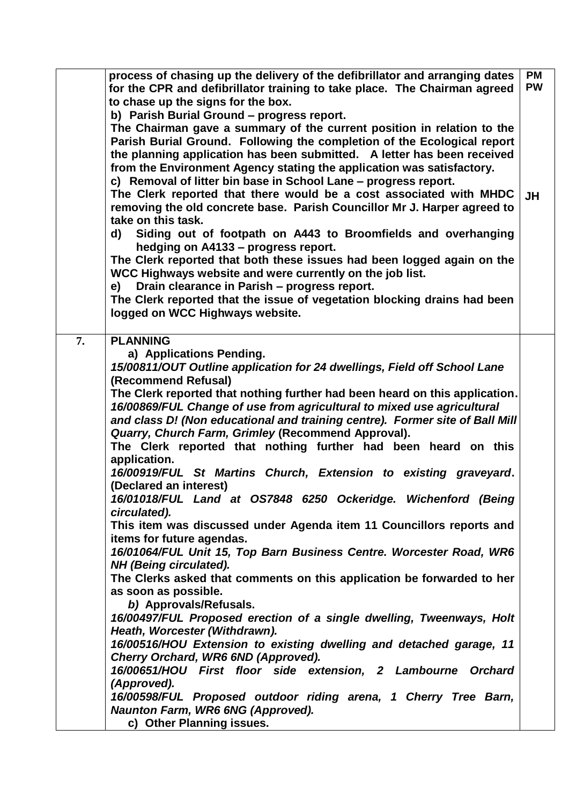|    | process of chasing up the delivery of the defibrillator and arranging dates<br>for the CPR and defibrillator training to take place. The Chairman agreed<br>to chase up the signs for the box.                                                                                                                                                                                                                         | <b>PM</b><br><b>PW</b> |
|----|------------------------------------------------------------------------------------------------------------------------------------------------------------------------------------------------------------------------------------------------------------------------------------------------------------------------------------------------------------------------------------------------------------------------|------------------------|
|    | b) Parish Burial Ground - progress report.<br>The Chairman gave a summary of the current position in relation to the<br>Parish Burial Ground. Following the completion of the Ecological report<br>the planning application has been submitted. A letter has been received<br>from the Environment Agency stating the application was satisfactory.<br>c) Removal of litter bin base in School Lane - progress report. |                        |
|    | The Clerk reported that there would be a cost associated with MHDC<br>removing the old concrete base. Parish Councillor Mr J. Harper agreed to<br>take on this task.                                                                                                                                                                                                                                                   | <b>JH</b>              |
|    | Siding out of footpath on A443 to Broomfields and overhanging<br>d)<br>hedging on A4133 - progress report.<br>The Clerk reported that both these issues had been logged again on the                                                                                                                                                                                                                                   |                        |
|    | WCC Highways website and were currently on the job list.<br>Drain clearance in Parish - progress report.<br>e)                                                                                                                                                                                                                                                                                                         |                        |
|    | The Clerk reported that the issue of vegetation blocking drains had been<br>logged on WCC Highways website.                                                                                                                                                                                                                                                                                                            |                        |
| 7. | <b>PLANNING</b>                                                                                                                                                                                                                                                                                                                                                                                                        |                        |
|    | a) Applications Pending.                                                                                                                                                                                                                                                                                                                                                                                               |                        |
|    | 15/00811/OUT Outline application for 24 dwellings, Field off School Lane                                                                                                                                                                                                                                                                                                                                               |                        |
|    | (Recommend Refusal)                                                                                                                                                                                                                                                                                                                                                                                                    |                        |
|    | The Clerk reported that nothing further had been heard on this application.<br>16/00869/FUL Change of use from agricultural to mixed use agricultural<br>and class D! (Non educational and training centre). Former site of Ball Mill                                                                                                                                                                                  |                        |
|    | Quarry, Church Farm, Grimley (Recommend Approval).                                                                                                                                                                                                                                                                                                                                                                     |                        |
|    | The Clerk reported that nothing further had been heard on this<br>application.                                                                                                                                                                                                                                                                                                                                         |                        |
|    | 16/00919/FUL St Martins Church, Extension to existing graveyard.<br>(Declared an interest)                                                                                                                                                                                                                                                                                                                             |                        |
|    | 16/01018/FUL Land at OS7848 6250 Ockeridge. Wichenford (Being<br>circulated).                                                                                                                                                                                                                                                                                                                                          |                        |
|    | This item was discussed under Agenda item 11 Councillors reports and<br>items for future agendas.                                                                                                                                                                                                                                                                                                                      |                        |
|    | 16/01064/FUL Unit 15, Top Barn Business Centre. Worcester Road, WR6<br>NH (Being circulated).                                                                                                                                                                                                                                                                                                                          |                        |
|    | The Clerks asked that comments on this application be forwarded to her                                                                                                                                                                                                                                                                                                                                                 |                        |
|    | as soon as possible.                                                                                                                                                                                                                                                                                                                                                                                                   |                        |
|    | b) Approvals/Refusals.<br>16/00497/FUL Proposed erection of a single dwelling, Tweenways, Holt                                                                                                                                                                                                                                                                                                                         |                        |
|    | Heath, Worcester (Withdrawn).                                                                                                                                                                                                                                                                                                                                                                                          |                        |
|    | 16/00516/HOU Extension to existing dwelling and detached garage, 11                                                                                                                                                                                                                                                                                                                                                    |                        |
|    | Cherry Orchard, WR6 6ND (Approved).                                                                                                                                                                                                                                                                                                                                                                                    |                        |
|    | 16/00651/HOU First floor side extension, 2 Lambourne Orchard                                                                                                                                                                                                                                                                                                                                                           |                        |
|    | (Approved).<br>16/00598/FUL Proposed outdoor riding arena, 1 Cherry Tree Barn,                                                                                                                                                                                                                                                                                                                                         |                        |
|    | Naunton Farm, WR6 6NG (Approved).                                                                                                                                                                                                                                                                                                                                                                                      |                        |
|    | c) Other Planning issues.                                                                                                                                                                                                                                                                                                                                                                                              |                        |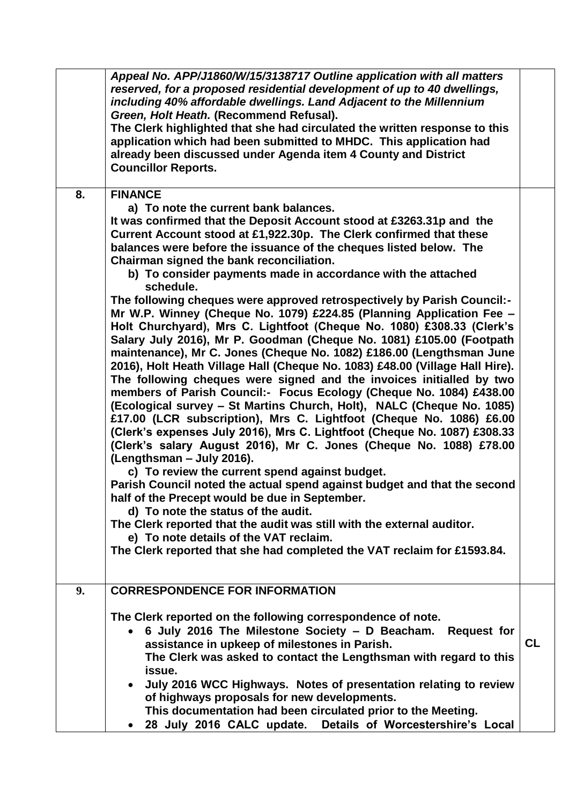|    | Appeal No. APP/J1860/W/15/3138717 Outline application with all matters<br>reserved, for a proposed residential development of up to 40 dwellings,<br>including 40% affordable dwellings. Land Adjacent to the Millennium<br>Green, Holt Heath. (Recommend Refusal).<br>The Clerk highlighted that she had circulated the written response to this<br>application which had been submitted to MHDC. This application had<br>already been discussed under Agenda item 4 County and District<br><b>Councillor Reports.</b>                                                                                                                                                                                                                                                                                                                                                                                                                                                                                                                                                                                                                                                                                                                                                                                                                                                                                                                                                                                                                                                                                                                                                                                                                                               |           |
|----|-----------------------------------------------------------------------------------------------------------------------------------------------------------------------------------------------------------------------------------------------------------------------------------------------------------------------------------------------------------------------------------------------------------------------------------------------------------------------------------------------------------------------------------------------------------------------------------------------------------------------------------------------------------------------------------------------------------------------------------------------------------------------------------------------------------------------------------------------------------------------------------------------------------------------------------------------------------------------------------------------------------------------------------------------------------------------------------------------------------------------------------------------------------------------------------------------------------------------------------------------------------------------------------------------------------------------------------------------------------------------------------------------------------------------------------------------------------------------------------------------------------------------------------------------------------------------------------------------------------------------------------------------------------------------------------------------------------------------------------------------------------------------|-----------|
| 8. | <b>FINANCE</b><br>a) To note the current bank balances.<br>It was confirmed that the Deposit Account stood at £3263.31p and the<br>Current Account stood at £1,922.30p. The Clerk confirmed that these<br>balances were before the issuance of the cheques listed below. The<br>Chairman signed the bank reconciliation.<br>b) To consider payments made in accordance with the attached<br>schedule.<br>The following cheques were approved retrospectively by Parish Council:-<br>Mr W.P. Winney (Cheque No. 1079) £224.85 (Planning Application Fee -<br>Holt Churchyard), Mrs C. Lightfoot (Cheque No. 1080) £308.33 (Clerk's<br>Salary July 2016), Mr P. Goodman (Cheque No. 1081) £105.00 (Footpath<br>maintenance), Mr C. Jones (Cheque No. 1082) £186.00 (Lengthsman June<br>2016), Holt Heath Village Hall (Cheque No. 1083) £48.00 (Village Hall Hire).<br>The following cheques were signed and the invoices initialled by two<br>members of Parish Council:- Focus Ecology (Cheque No. 1084) £438.00<br>(Ecological survey - St Martins Church, Holt), NALC (Cheque No. 1085)<br>£17.00 (LCR subscription), Mrs C. Lightfoot (Cheque No. 1086) £6.00<br>(Clerk's expenses July 2016), Mrs C. Lightfoot (Cheque No. 1087) £308.33<br>(Clerk's salary August 2016), Mr C. Jones (Cheque No. 1088) £78.00<br>(Lengthsman - July 2016).<br>c) To review the current spend against budget.<br>Parish Council noted the actual spend against budget and that the second<br>half of the Precept would be due in September.<br>d) To note the status of the audit.<br>The Clerk reported that the audit was still with the external auditor.<br>e) To note details of the VAT reclaim.<br>The Clerk reported that she had completed the VAT reclaim for £1593.84. |           |
| 9. | <b>CORRESPONDENCE FOR INFORMATION</b><br>The Clerk reported on the following correspondence of note.<br>6 July 2016 The Milestone Society - D Beacham. Request for<br>assistance in upkeep of milestones in Parish.<br>The Clerk was asked to contact the Lengthsman with regard to this                                                                                                                                                                                                                                                                                                                                                                                                                                                                                                                                                                                                                                                                                                                                                                                                                                                                                                                                                                                                                                                                                                                                                                                                                                                                                                                                                                                                                                                                              | <b>CL</b> |
|    | issue.<br>July 2016 WCC Highways. Notes of presentation relating to review<br>of highways proposals for new developments.<br>This documentation had been circulated prior to the Meeting.<br>28 July 2016 CALC update.<br>Details of Worcestershire's Local                                                                                                                                                                                                                                                                                                                                                                                                                                                                                                                                                                                                                                                                                                                                                                                                                                                                                                                                                                                                                                                                                                                                                                                                                                                                                                                                                                                                                                                                                                           |           |